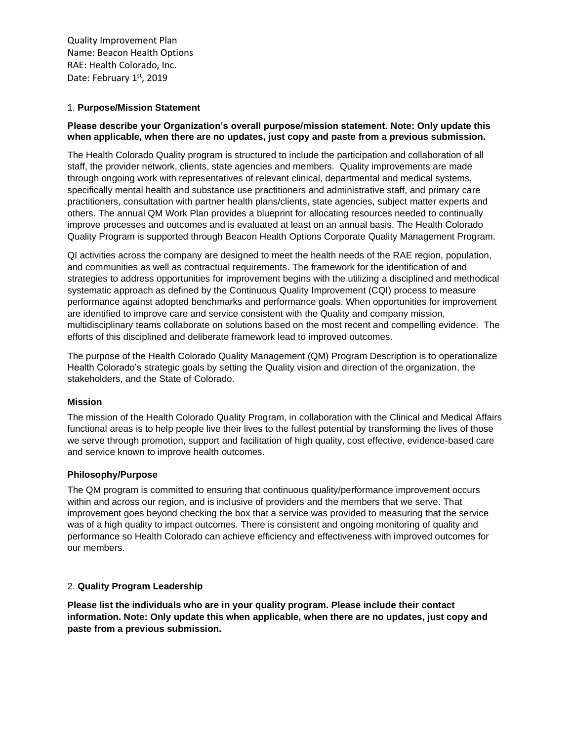#### 1. **Purpose/Mission Statement**

#### **Please describe your Organization's overall purpose/mission statement. Note: Only update this when applicable, when there are no updates, just copy and paste from a previous submission.**

The Health Colorado Quality program is structured to include the participation and collaboration of all staff, the provider network, clients, state agencies and members. Quality improvements are made through ongoing work with representatives of relevant clinical, departmental and medical systems, specifically mental health and substance use practitioners and administrative staff, and primary care practitioners, consultation with partner health plans/clients, state agencies, subject matter experts and others. The annual QM Work Plan provides a blueprint for allocating resources needed to continually improve processes and outcomes and is evaluated at least on an annual basis. The Health Colorado Quality Program is supported through Beacon Health Options Corporate Quality Management Program.

QI activities across the company are designed to meet the health needs of the RAE region, population, and communities as well as contractual requirements. The framework for the identification of and strategies to address opportunities for improvement begins with the utilizing a disciplined and methodical systematic approach as defined by the Continuous Quality Improvement (CQI) process to measure performance against adopted benchmarks and performance goals. When opportunities for improvement are identified to improve care and service consistent with the Quality and company mission, multidisciplinary teams collaborate on solutions based on the most recent and compelling evidence. The efforts of this disciplined and deliberate framework lead to improved outcomes.

The purpose of the Health Colorado Quality Management (QM) Program Description is to operationalize Health Colorado's strategic goals by setting the Quality vision and direction of the organization, the stakeholders, and the State of Colorado.

#### **Mission**

The mission of the Health Colorado Quality Program, in collaboration with the Clinical and Medical Affairs functional areas is to help people live their lives to the fullest potential by transforming the lives of those we serve through promotion, support and facilitation of high quality, cost effective, evidence-based care and service known to improve health outcomes.

#### **Philosophy/Purpose**

The QM program is committed to ensuring that continuous quality/performance improvement occurs within and across our region, and is inclusive of providers and the members that we serve. That improvement goes beyond checking the box that a service was provided to measuring that the service was of a high quality to impact outcomes. There is consistent and ongoing monitoring of quality and performance so Health Colorado can achieve efficiency and effectiveness with improved outcomes for our members.

#### 2. **Quality Program Leadership**

**Please list the individuals who are in your quality program. Please include their contact information. Note: Only update this when applicable, when there are no updates, just copy and paste from a previous submission.**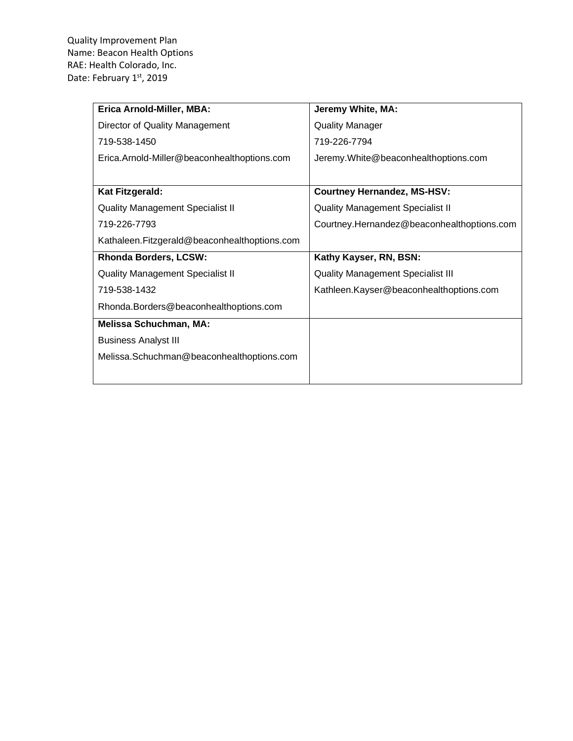| Erica Arnold-Miller, MBA:                     | Jeremy White, MA:                          |
|-----------------------------------------------|--------------------------------------------|
| Director of Quality Management                | <b>Quality Manager</b>                     |
| 719-538-1450                                  | 719-226-7794                               |
| Erica.Arnold-Miller@beaconhealthoptions.com   | Jeremy. White@beaconhealthoptions.com      |
|                                               |                                            |
| Kat Fitzgerald:                               | <b>Courtney Hernandez, MS-HSV:</b>         |
| <b>Quality Management Specialist II</b>       | <b>Quality Management Specialist II</b>    |
| 719-226-7793                                  | Courtney.Hernandez@beaconhealthoptions.com |
| Kathaleen. Fitzgerald@beaconhealthoptions.com |                                            |
| <b>Rhonda Borders, LCSW:</b>                  | Kathy Kayser, RN, BSN:                     |
| <b>Quality Management Specialist II</b>       | <b>Quality Management Specialist III</b>   |
| 719-538-1432                                  | Kathleen.Kayser@beaconhealthoptions.com    |
| Rhonda.Borders@beaconhealthoptions.com        |                                            |
| <b>Melissa Schuchman, MA:</b>                 |                                            |
| <b>Business Analyst III</b>                   |                                            |
| Melissa.Schuchman@beaconhealthoptions.com     |                                            |
|                                               |                                            |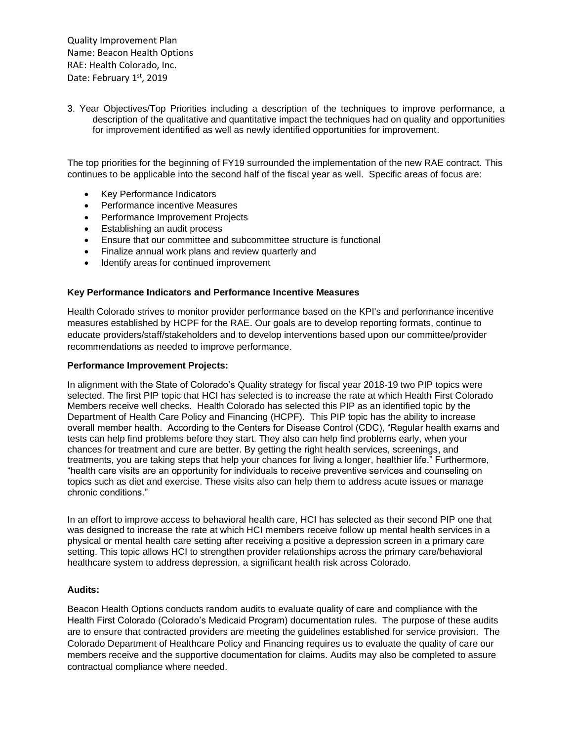3. Year Objectives/Top Priorities including a description of the techniques to improve performance, a description of the qualitative and quantitative impact the techniques had on quality and opportunities for improvement identified as well as newly identified opportunities for improvement.

The top priorities for the beginning of FY19 surrounded the implementation of the new RAE contract. This continues to be applicable into the second half of the fiscal year as well. Specific areas of focus are:

- Key Performance Indicators
- Performance incentive Measures
- Performance Improvement Projects
- Establishing an audit process
- Ensure that our committee and subcommittee structure is functional
- Finalize annual work plans and review quarterly and
- Identify areas for continued improvement

#### **Key Performance Indicators and Performance Incentive Measures**

Health Colorado strives to monitor provider performance based on the KPI's and performance incentive measures established by HCPF for the RAE. Our goals are to develop reporting formats, continue to educate providers/staff/stakeholders and to develop interventions based upon our committee/provider recommendations as needed to improve performance.

#### **Performance Improvement Projects:**

In alignment with the State of Colorado's Quality strategy for fiscal year 2018-19 two PIP topics were selected. The first PIP topic that HCI has selected is to increase the rate at which Health First Colorado Members receive well checks. Health Colorado has selected this PIP as an identified topic by the Department of Health Care Policy and Financing (HCPF). This PIP topic has the ability to increase overall member health. According to the Centers for Disease Control (CDC), "Regular health exams and tests can help find problems before they start. They also can help find problems early, when your chances for treatment and cure are better. By getting the right health services, screenings, and treatments, you are taking steps that help your chances for living a longer, healthier life." Furthermore, "health care visits are an opportunity for individuals to receive preventive services and counseling on topics such as diet and exercise. These visits also can help them to address acute issues or manage chronic conditions."

In an effort to improve access to behavioral health care, HCI has selected as their second PIP one that was designed to increase the rate at which HCI members receive follow up mental health services in a physical or mental health care setting after receiving a positive a depression screen in a primary care setting. This topic allows HCI to strengthen provider relationships across the primary care/behavioral healthcare system to address depression, a significant health risk across Colorado.

#### **Audits:**

Beacon Health Options conducts random audits to evaluate quality of care and compliance with the Health First Colorado (Colorado's Medicaid Program) documentation rules. The purpose of these audits are to ensure that contracted providers are meeting the guidelines established for service provision. The Colorado Department of Healthcare Policy and Financing requires us to evaluate the quality of care our members receive and the supportive documentation for claims. Audits may also be completed to assure contractual compliance where needed.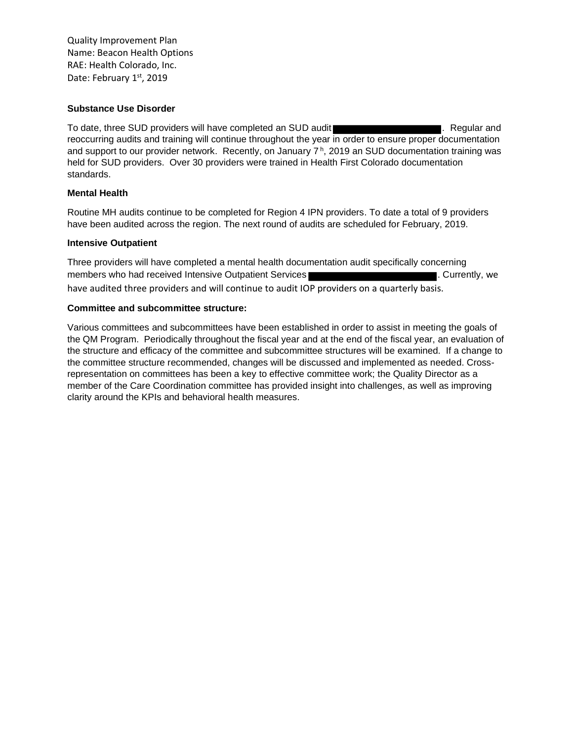#### **Substance Use Disorder**

To date, three SUD providers will have completed an SUD audit **Theorem Contains and SUD** audit . Regular and reoccurring audits and training will continue throughout the year in order to ensure proper documentation and support to our provider network. Recently, on January 7<sup>h</sup>, 2019 an SUD documentation training was held for SUD providers. Over 30 providers were trained in Health First Colorado documentation standards.

#### **Mental Health**

Routine MH audits continue to be completed for Region 4 IPN providers. To date a total of 9 providers have been audited across the region. The next round of audits are scheduled for February, 2019.

#### **Intensive Outpatient**

Three providers will have completed a mental health documentation audit specifically concerning members who had received Intensive Outpatient Services **Exercise 2008** Currently, we have audited three providers and will continue to audit IOP providers on a quarterly basis.

#### **Committee and subcommittee structure:**

Various committees and subcommittees have been established in order to assist in meeting the goals of the QM Program. Periodically throughout the fiscal year and at the end of the fiscal year, an evaluation of the structure and efficacy of the committee and subcommittee structures will be examined. If a change to the committee structure recommended, changes will be discussed and implemented as needed. Crossrepresentation on committees has been a key to effective committee work; the Quality Director as a member of the Care Coordination committee has provided insight into challenges, as well as improving clarity around the KPIs and behavioral health measures.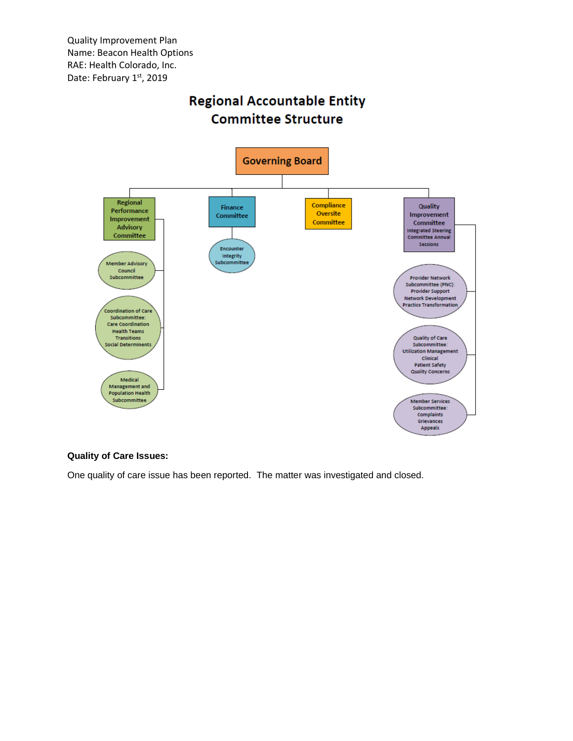# **Regional Accountable Entity Committee Structure**



#### **Quality of Care Issues:**

One quality of care issue has been reported. The matter was investigated and closed.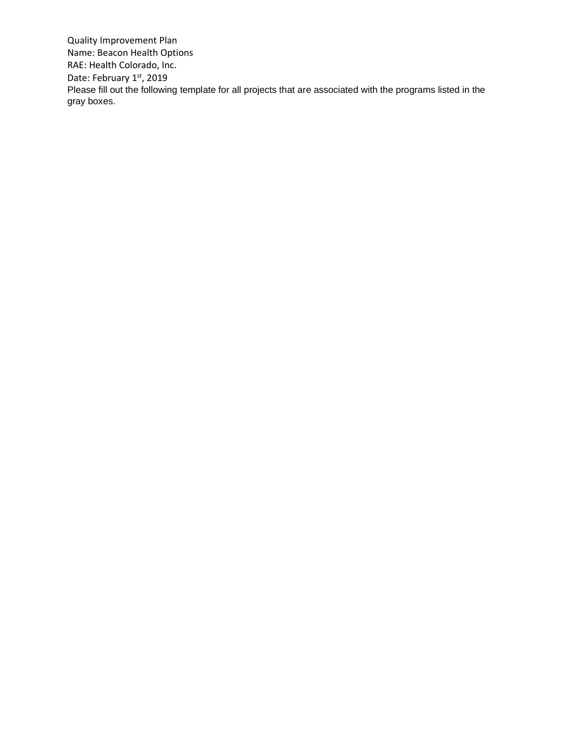Quality Improvement Plan Name: Beacon Health Options RAE: Health Colorado, Inc. Date: February 1st, 2019 Please fill out the following template for all projects that are associated with the programs listed in the gray boxes.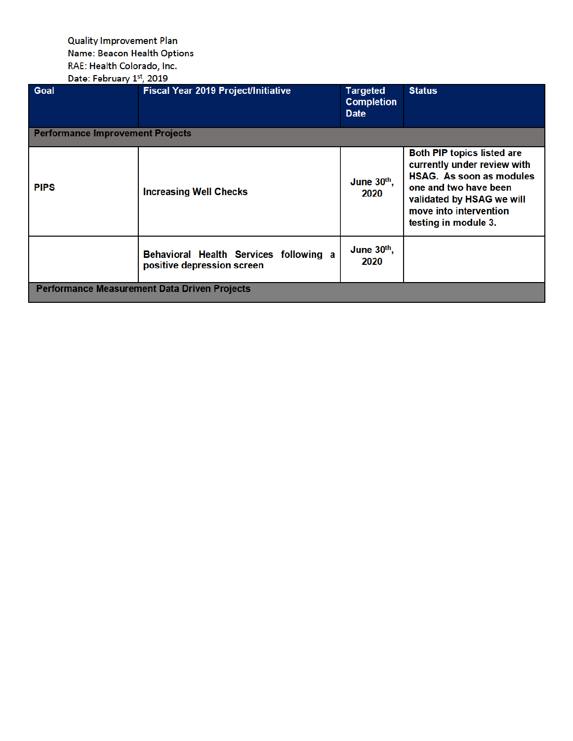| Date. February 1, 2019                              |                                                                      |                                                     |                                                                                                                                                                                                             |
|-----------------------------------------------------|----------------------------------------------------------------------|-----------------------------------------------------|-------------------------------------------------------------------------------------------------------------------------------------------------------------------------------------------------------------|
| Goal                                                | Fiscal Year 2019 Project/Initiative                                  | <b>Targeted</b><br><b>Completion</b><br><b>Date</b> | <b>Status</b>                                                                                                                                                                                               |
| <b>Performance Improvement Projects</b>             |                                                                      |                                                     |                                                                                                                                                                                                             |
| <b>PIPS</b>                                         | <b>Increasing Well Checks</b>                                        | June $30th$ ,<br>2020                               | <b>Both PIP topics listed are</b><br>currently under review with<br><b>HSAG.</b> As soon as modules<br>one and two have been<br>validated by HSAG we will<br>move into intervention<br>testing in module 3. |
|                                                     | Behavioral Health Services following a<br>positive depression screen | June $30th$ ,<br>2020                               |                                                                                                                                                                                                             |
| <b>Performance Measurement Data Driven Projects</b> |                                                                      |                                                     |                                                                                                                                                                                                             |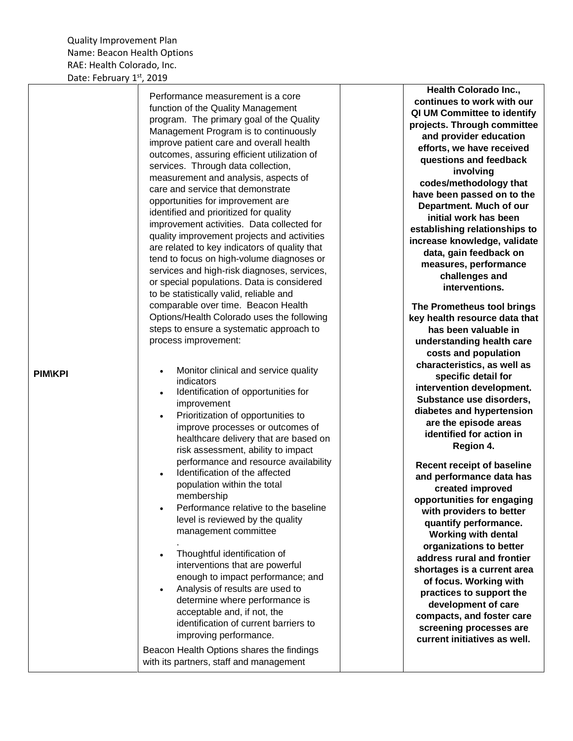|                | Performance measurement is a core<br>function of the Quality Management<br>program. The primary goal of the Quality<br>Management Program is to continuously<br>improve patient care and overall health<br>outcomes, assuring efficient utilization of<br>services. Through data collection,<br>measurement and analysis, aspects of<br>care and service that demonstrate<br>opportunities for improvement are<br>identified and prioritized for quality<br>improvement activities. Data collected for<br>quality improvement projects and activities<br>are related to key indicators of quality that<br>tend to focus on high-volume diagnoses or<br>services and high-risk diagnoses, services,<br>or special populations. Data is considered<br>to be statistically valid, reliable and<br>comparable over time. Beacon Health<br>Options/Health Colorado uses the following<br>steps to ensure a systematic approach to<br>process improvement: | <b>Health Colorado Inc.,</b><br>continues to work with our<br>QI UM Committee to identify<br>projects. Through committee<br>and provider education<br>efforts, we have received<br>questions and feedback<br>involving<br>codes/methodology that<br>have been passed on to the<br>Department. Much of our<br>initial work has been<br>establishing relationships to<br>increase knowledge, validate<br>data, gain feedback on<br>measures, performance<br>challenges and<br>interventions.<br>The Prometheus tool brings<br>key health resource data that<br>has been valuable in<br>understanding health care<br>costs and population                                        |
|----------------|------------------------------------------------------------------------------------------------------------------------------------------------------------------------------------------------------------------------------------------------------------------------------------------------------------------------------------------------------------------------------------------------------------------------------------------------------------------------------------------------------------------------------------------------------------------------------------------------------------------------------------------------------------------------------------------------------------------------------------------------------------------------------------------------------------------------------------------------------------------------------------------------------------------------------------------------------|-------------------------------------------------------------------------------------------------------------------------------------------------------------------------------------------------------------------------------------------------------------------------------------------------------------------------------------------------------------------------------------------------------------------------------------------------------------------------------------------------------------------------------------------------------------------------------------------------------------------------------------------------------------------------------|
| <b>PIM\KPI</b> | Monitor clinical and service quality<br>$\bullet$<br>indicators<br>Identification of opportunities for<br>$\bullet$<br>improvement<br>Prioritization of opportunities to<br>$\bullet$<br>improve processes or outcomes of<br>healthcare delivery that are based on<br>risk assessment, ability to impact<br>performance and resource availability<br>Identification of the affected<br>$\bullet$<br>population within the total<br>membership<br>Performance relative to the baseline<br>level is reviewed by the quality<br>management committee<br>Thoughtful identification of<br>$\bullet$<br>interventions that are powerful<br>enough to impact performance; and<br>Analysis of results are used to<br>$\bullet$<br>determine where performance is<br>acceptable and, if not, the<br>identification of current barriers to<br>improving performance.<br>Beacon Health Options shares the findings<br>with its partners, staff and management   | characteristics, as well as<br>specific detail for<br>intervention development.<br>Substance use disorders,<br>diabetes and hypertension<br>are the episode areas<br>identified for action in<br>Region 4.<br><b>Recent receipt of baseline</b><br>and performance data has<br>created improved<br>opportunities for engaging<br>with providers to better<br>quantify performance.<br><b>Working with dental</b><br>organizations to better<br>address rural and frontier<br>shortages is a current area<br>of focus. Working with<br>practices to support the<br>development of care<br>compacts, and foster care<br>screening processes are<br>current initiatives as well. |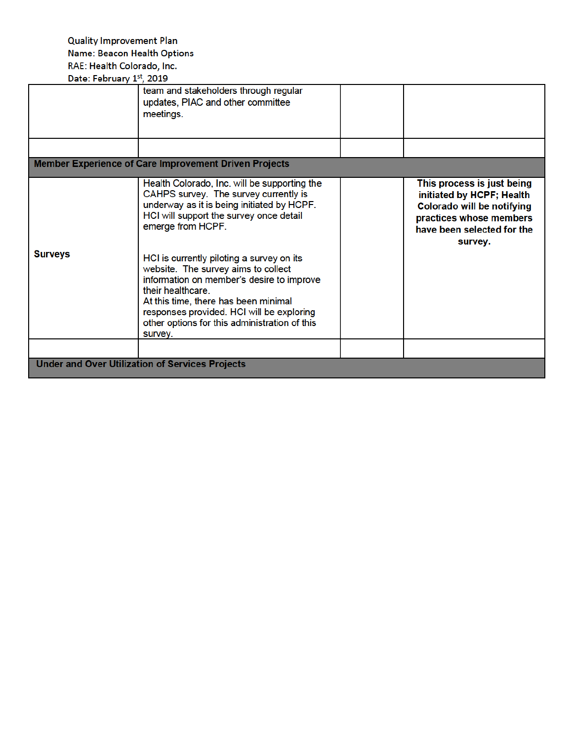### **Quality Improvement Plan** Name: Beacon Health Options RAE: Health Colorado, Inc.

| Date: February 1st, 2019 |  |
|--------------------------|--|
|--------------------------|--|

| $P^{\text{u}}(t)$ . I CDI Gai y 1, 2019                | team and stakeholders through regular<br>updates, PIAC and other committee<br>meetings.                                                                                                                                                                                                             |  |                                                                                                                                                           |
|--------------------------------------------------------|-----------------------------------------------------------------------------------------------------------------------------------------------------------------------------------------------------------------------------------------------------------------------------------------------------|--|-----------------------------------------------------------------------------------------------------------------------------------------------------------|
|                                                        |                                                                                                                                                                                                                                                                                                     |  |                                                                                                                                                           |
|                                                        | <b>Member Experience of Care Improvement Driven Projects</b>                                                                                                                                                                                                                                        |  |                                                                                                                                                           |
|                                                        | Health Colorado, Inc. will be supporting the<br>CAHPS survey. The survey currently is<br>underway as it is being initiated by HCPF.<br>HCI will support the survey once detail<br>emerge from HCPF.                                                                                                 |  | This process is just being<br>initiated by HCPF; Health<br>Colorado will be notifying<br>practices whose members<br>have been selected for the<br>survey. |
| <b>Surveys</b>                                         | HCI is currently piloting a survey on its<br>website. The survey aims to collect<br>information on member's desire to improve<br>their healthcare.<br>At this time, there has been minimal<br>responses provided. HCI will be exploring<br>other options for this administration of this<br>survey. |  |                                                                                                                                                           |
|                                                        |                                                                                                                                                                                                                                                                                                     |  |                                                                                                                                                           |
| <b>Under and Over Utilization of Services Projects</b> |                                                                                                                                                                                                                                                                                                     |  |                                                                                                                                                           |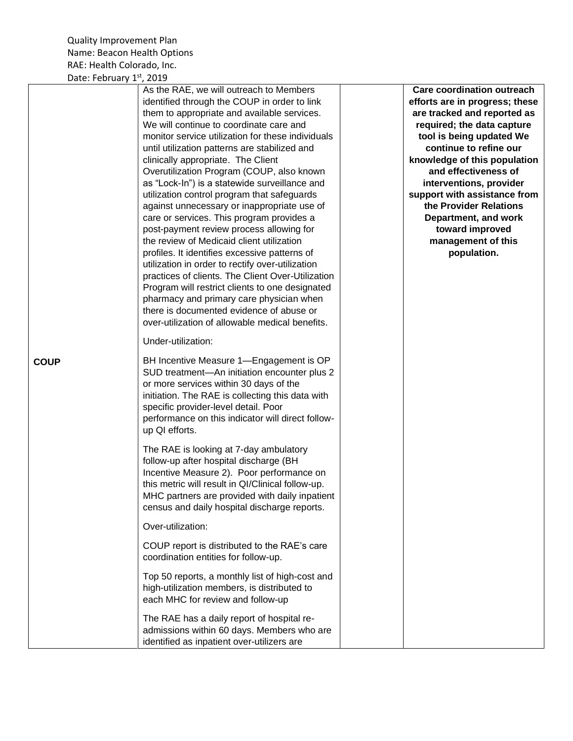| $D$ utt. I tivi uui yuungi $\sim$ yuungi $\sim$ |                                                                                                                                                                                                                                                                                                                                                                                                                                                                                                                                                                                                                                                                                                                                                                                                                                                                                                                                                                                                                         |                                                                                                                                                                                                                                                                                                                                                                                                                     |
|-------------------------------------------------|-------------------------------------------------------------------------------------------------------------------------------------------------------------------------------------------------------------------------------------------------------------------------------------------------------------------------------------------------------------------------------------------------------------------------------------------------------------------------------------------------------------------------------------------------------------------------------------------------------------------------------------------------------------------------------------------------------------------------------------------------------------------------------------------------------------------------------------------------------------------------------------------------------------------------------------------------------------------------------------------------------------------------|---------------------------------------------------------------------------------------------------------------------------------------------------------------------------------------------------------------------------------------------------------------------------------------------------------------------------------------------------------------------------------------------------------------------|
|                                                 | As the RAE, we will outreach to Members<br>identified through the COUP in order to link<br>them to appropriate and available services.<br>We will continue to coordinate care and<br>monitor service utilization for these individuals<br>until utilization patterns are stabilized and<br>clinically appropriate. The Client<br>Overutilization Program (COUP, also known<br>as "Lock-In") is a statewide surveillance and<br>utilization control program that safeguards<br>against unnecessary or inappropriate use of<br>care or services. This program provides a<br>post-payment review process allowing for<br>the review of Medicaid client utilization<br>profiles. It identifies excessive patterns of<br>utilization in order to rectify over-utilization<br>practices of clients. The Client Over-Utilization<br>Program will restrict clients to one designated<br>pharmacy and primary care physician when<br>there is documented evidence of abuse or<br>over-utilization of allowable medical benefits. | <b>Care coordination outreach</b><br>efforts are in progress; these<br>are tracked and reported as<br>required; the data capture<br>tool is being updated We<br>continue to refine our<br>knowledge of this population<br>and effectiveness of<br>interventions, provider<br>support with assistance from<br>the Provider Relations<br>Department, and work<br>toward improved<br>management of this<br>population. |
|                                                 | Under-utilization:                                                                                                                                                                                                                                                                                                                                                                                                                                                                                                                                                                                                                                                                                                                                                                                                                                                                                                                                                                                                      |                                                                                                                                                                                                                                                                                                                                                                                                                     |
| <b>COUP</b>                                     | BH Incentive Measure 1-Engagement is OP<br>SUD treatment-An initiation encounter plus 2<br>or more services within 30 days of the<br>initiation. The RAE is collecting this data with<br>specific provider-level detail. Poor<br>performance on this indicator will direct follow-<br>up QI efforts.                                                                                                                                                                                                                                                                                                                                                                                                                                                                                                                                                                                                                                                                                                                    |                                                                                                                                                                                                                                                                                                                                                                                                                     |
|                                                 | The RAE is looking at 7-day ambulatory<br>follow-up after hospital discharge (BH<br>Incentive Measure 2). Poor performance on<br>this metric will result in QI/Clinical follow-up.<br>MHC partners are provided with daily inpatient<br>census and daily hospital discharge reports.                                                                                                                                                                                                                                                                                                                                                                                                                                                                                                                                                                                                                                                                                                                                    |                                                                                                                                                                                                                                                                                                                                                                                                                     |
|                                                 | Over-utilization:                                                                                                                                                                                                                                                                                                                                                                                                                                                                                                                                                                                                                                                                                                                                                                                                                                                                                                                                                                                                       |                                                                                                                                                                                                                                                                                                                                                                                                                     |
|                                                 | COUP report is distributed to the RAE's care<br>coordination entities for follow-up.                                                                                                                                                                                                                                                                                                                                                                                                                                                                                                                                                                                                                                                                                                                                                                                                                                                                                                                                    |                                                                                                                                                                                                                                                                                                                                                                                                                     |
|                                                 | Top 50 reports, a monthly list of high-cost and<br>high-utilization members, is distributed to<br>each MHC for review and follow-up                                                                                                                                                                                                                                                                                                                                                                                                                                                                                                                                                                                                                                                                                                                                                                                                                                                                                     |                                                                                                                                                                                                                                                                                                                                                                                                                     |
|                                                 | The RAE has a daily report of hospital re-<br>admissions within 60 days. Members who are<br>identified as inpatient over-utilizers are                                                                                                                                                                                                                                                                                                                                                                                                                                                                                                                                                                                                                                                                                                                                                                                                                                                                                  |                                                                                                                                                                                                                                                                                                                                                                                                                     |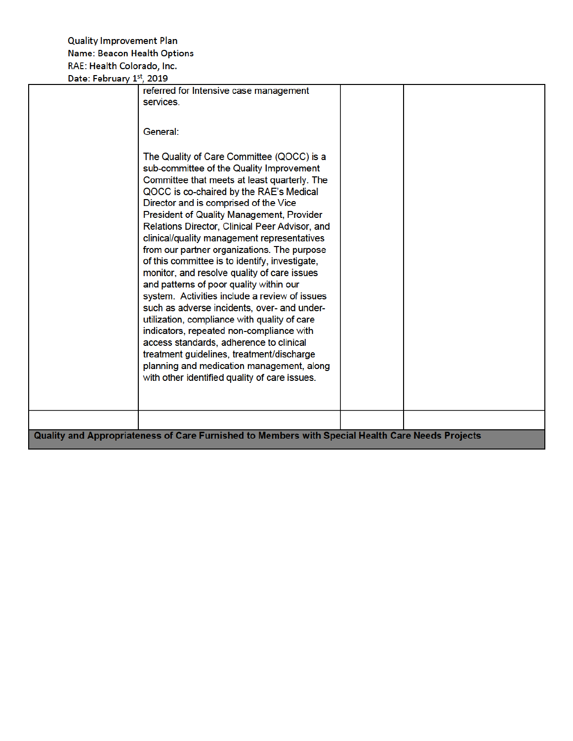| Date. I ebitiai y 1, 2015 |                                                                                                                                                                                                                                                                                                                                                                                                                                                                                                                                                                                                                                                                                                                                                                                                                                                                                                                                                      |  |
|---------------------------|------------------------------------------------------------------------------------------------------------------------------------------------------------------------------------------------------------------------------------------------------------------------------------------------------------------------------------------------------------------------------------------------------------------------------------------------------------------------------------------------------------------------------------------------------------------------------------------------------------------------------------------------------------------------------------------------------------------------------------------------------------------------------------------------------------------------------------------------------------------------------------------------------------------------------------------------------|--|
|                           | referred for Intensive case management<br>services.                                                                                                                                                                                                                                                                                                                                                                                                                                                                                                                                                                                                                                                                                                                                                                                                                                                                                                  |  |
|                           | General:                                                                                                                                                                                                                                                                                                                                                                                                                                                                                                                                                                                                                                                                                                                                                                                                                                                                                                                                             |  |
|                           | The Quality of Care Committee (QOCC) is a<br>sub-committee of the Quality Improvement<br>Committee that meets at least quarterly. The<br>QOCC is co-chaired by the RAE's Medical<br>Director and is comprised of the Vice<br>President of Quality Management, Provider<br>Relations Director, Clinical Peer Advisor, and<br>clinical/quality management representatives<br>from our partner organizations. The purpose<br>of this committee is to identify, investigate,<br>monitor, and resolve quality of care issues<br>and patterns of poor quality within our<br>system. Activities include a review of issues<br>such as adverse incidents, over- and under-<br>utilization, compliance with quality of care<br>indicators, repeated non-compliance with<br>access standards, adherence to clinical<br>treatment guidelines, treatment/discharge<br>planning and medication management, along<br>with other identified quality of care issues. |  |
|                           |                                                                                                                                                                                                                                                                                                                                                                                                                                                                                                                                                                                                                                                                                                                                                                                                                                                                                                                                                      |  |
|                           | Quality and Appropriateness of Care Furnished to Members with Special Health Care Needs Projects                                                                                                                                                                                                                                                                                                                                                                                                                                                                                                                                                                                                                                                                                                                                                                                                                                                     |  |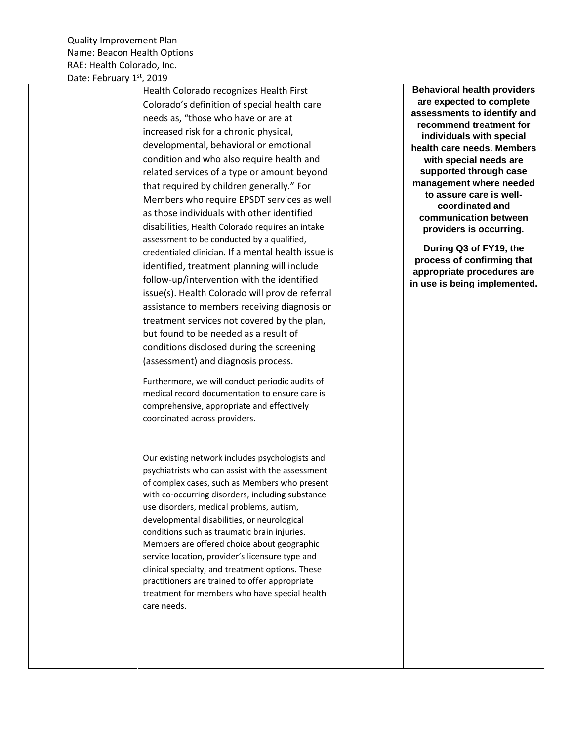| Health Colorado recognizes Health First                                                     | <b>Behavioral health providers</b>                       |
|---------------------------------------------------------------------------------------------|----------------------------------------------------------|
| Colorado's definition of special health care                                                | are expected to complete                                 |
| needs as, "those who have or are at                                                         | assessments to identify and                              |
| increased risk for a chronic physical,                                                      | recommend treatment for<br>individuals with special      |
| developmental, behavioral or emotional                                                      | health care needs. Members                               |
| condition and who also require health and                                                   | with special needs are                                   |
| related services of a type or amount beyond                                                 | supported through case                                   |
| that required by children generally." For                                                   | management where needed                                  |
| Members who require EPSDT services as well                                                  | to assure care is well-                                  |
| as those individuals with other identified                                                  | coordinated and<br>communication between                 |
| disabilities, Health Colorado requires an intake                                            | providers is occurring.                                  |
| assessment to be conducted by a qualified,                                                  |                                                          |
| credentialed clinician. If a mental health issue is                                         | During Q3 of FY19, the                                   |
| identified, treatment planning will include                                                 | process of confirming that<br>appropriate procedures are |
| follow-up/intervention with the identified                                                  | in use is being implemented.                             |
| issue(s). Health Colorado will provide referral                                             |                                                          |
| assistance to members receiving diagnosis or                                                |                                                          |
| treatment services not covered by the plan,                                                 |                                                          |
| but found to be needed as a result of                                                       |                                                          |
| conditions disclosed during the screening                                                   |                                                          |
| (assessment) and diagnosis process.                                                         |                                                          |
| Furthermore, we will conduct periodic audits of                                             |                                                          |
| medical record documentation to ensure care is                                              |                                                          |
| comprehensive, appropriate and effectively                                                  |                                                          |
| coordinated across providers.                                                               |                                                          |
|                                                                                             |                                                          |
|                                                                                             |                                                          |
| Our existing network includes psychologists and                                             |                                                          |
| psychiatrists who can assist with the assessment                                            |                                                          |
| of complex cases, such as Members who present                                               |                                                          |
| with co-occurring disorders, including substance                                            |                                                          |
| use disorders, medical problems, autism,                                                    |                                                          |
| developmental disabilities, or neurological<br>conditions such as traumatic brain injuries. |                                                          |
| Members are offered choice about geographic                                                 |                                                          |
| service location, provider's licensure type and                                             |                                                          |
| clinical specialty, and treatment options. These                                            |                                                          |
| practitioners are trained to offer appropriate                                              |                                                          |
| treatment for members who have special health                                               |                                                          |
| care needs.                                                                                 |                                                          |
|                                                                                             |                                                          |
|                                                                                             |                                                          |
|                                                                                             |                                                          |
|                                                                                             |                                                          |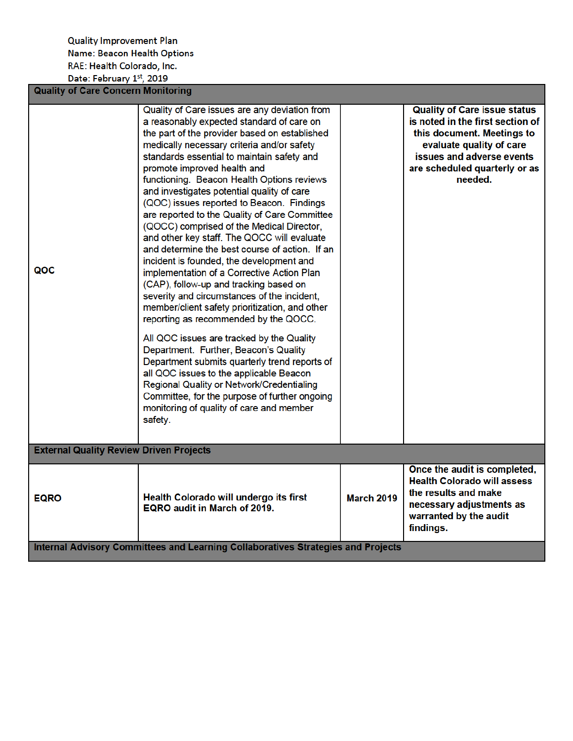| Date: February 1 <sup>st</sup> , 2019                                            |                                                                                                                                                                                                                                                                                                                                                                                                                                                                                                                                                                                                                                                                                                                                                                                                                                                                                                                                                                                                                                                                                                                                                                                                                                     |                   |                                                                                                                                                                                                            |
|----------------------------------------------------------------------------------|-------------------------------------------------------------------------------------------------------------------------------------------------------------------------------------------------------------------------------------------------------------------------------------------------------------------------------------------------------------------------------------------------------------------------------------------------------------------------------------------------------------------------------------------------------------------------------------------------------------------------------------------------------------------------------------------------------------------------------------------------------------------------------------------------------------------------------------------------------------------------------------------------------------------------------------------------------------------------------------------------------------------------------------------------------------------------------------------------------------------------------------------------------------------------------------------------------------------------------------|-------------------|------------------------------------------------------------------------------------------------------------------------------------------------------------------------------------------------------------|
| <b>Quality of Care Concern Monitoring</b>                                        |                                                                                                                                                                                                                                                                                                                                                                                                                                                                                                                                                                                                                                                                                                                                                                                                                                                                                                                                                                                                                                                                                                                                                                                                                                     |                   |                                                                                                                                                                                                            |
| QOC                                                                              | Quality of Care issues are any deviation from<br>a reasonably expected standard of care on<br>the part of the provider based on established<br>medically necessary criteria and/or safety<br>standards essential to maintain safety and<br>promote improved health and<br>functioning. Beacon Health Options reviews<br>and investigates potential quality of care<br>(QOC) issues reported to Beacon. Findings<br>are reported to the Quality of Care Committee<br>(QOCC) comprised of the Medical Director,<br>and other key staff. The QOCC will evaluate<br>and determine the best course of action. If an<br>incident is founded, the development and<br>implementation of a Corrective Action Plan<br>(CAP), follow-up and tracking based on<br>severity and circumstances of the incident,<br>member/client safety prioritization, and other<br>reporting as recommended by the QOCC.<br>All QOC issues are tracked by the Quality<br>Department. Further, Beacon's Quality<br>Department submits quarterly trend reports of<br>all QOC issues to the applicable Beacon<br>Regional Quality or Network/Credentialing<br>Committee, for the purpose of further ongoing<br>monitoring of quality of care and member<br>safety. |                   | <b>Quality of Care issue status</b><br>is noted in the first section of<br>this document. Meetings to<br>evaluate quality of care<br>issues and adverse events<br>are scheduled quarterly or as<br>needed. |
| <b>External Quality Review Driven Projects</b>                                   |                                                                                                                                                                                                                                                                                                                                                                                                                                                                                                                                                                                                                                                                                                                                                                                                                                                                                                                                                                                                                                                                                                                                                                                                                                     |                   |                                                                                                                                                                                                            |
| <b>EQRO</b>                                                                      | Health Colorado will undergo its first<br><b>EQRO</b> audit in March of 2019.                                                                                                                                                                                                                                                                                                                                                                                                                                                                                                                                                                                                                                                                                                                                                                                                                                                                                                                                                                                                                                                                                                                                                       | <b>March 2019</b> | Once the audit is completed,<br><b>Health Colorado will assess</b><br>the results and make<br>necessary adjustments as<br>warranted by the audit<br>findings.                                              |
| Internal Advisory Committees and Learning Collaboratives Strategies and Projects |                                                                                                                                                                                                                                                                                                                                                                                                                                                                                                                                                                                                                                                                                                                                                                                                                                                                                                                                                                                                                                                                                                                                                                                                                                     |                   |                                                                                                                                                                                                            |